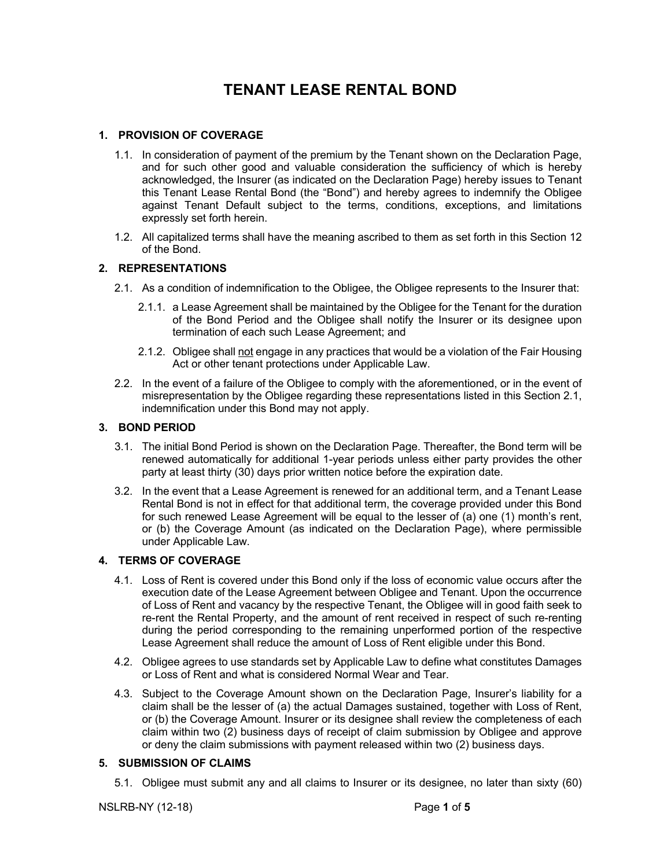# **TENANT LEASE RENTAL BOND**

## **1. PROVISION OF COVERAGE**

- 1.1. In consideration of payment of the premium by the Tenant shown on the Declaration Page, and for such other good and valuable consideration the sufficiency of which is hereby acknowledged, the Insurer (as indicated on the Declaration Page) hereby issues to Tenant this Tenant Lease Rental Bond (the "Bond") and hereby agrees to indemnify the Obligee against Tenant Default subject to the terms, conditions, exceptions, and limitations expressly set forth herein.
- 1.2. All capitalized terms shall have the meaning ascribed to them as set forth in this Section 12 of the Bond.

## **2. REPRESENTATIONS**

- 2.1. As a condition of indemnification to the Obligee, the Obligee represents to the Insurer that:
	- 2.1.1. a Lease Agreement shall be maintained by the Obligee for the Tenant for the duration of the Bond Period and the Obligee shall notify the Insurer or its designee upon termination of each such Lease Agreement; and
	- 2.1.2. Obligee shall not engage in any practices that would be a violation of the Fair Housing Act or other tenant protections under Applicable Law.
- 2.2. In the event of a failure of the Obligee to comply with the aforementioned, or in the event of misrepresentation by the Obligee regarding these representations listed in this Section 2.1, indemnification under this Bond may not apply.

## **3. BOND PERIOD**

- 3.1. The initial Bond Period is shown on the Declaration Page. Thereafter, the Bond term will be renewed automatically for additional 1-year periods unless either party provides the other party at least thirty (30) days prior written notice before the expiration date.
- 3.2. In the event that a Lease Agreement is renewed for an additional term, and a Tenant Lease Rental Bond is not in effect for that additional term, the coverage provided under this Bond for such renewed Lease Agreement will be equal to the lesser of (a) one (1) month's rent, or (b) the Coverage Amount (as indicated on the Declaration Page), where permissible under Applicable Law.

## **4. TERMS OF COVERAGE**

- 4.1. Loss of Rent is covered under this Bond only if the loss of economic value occurs after the execution date of the Lease Agreement between Obligee and Tenant. Upon the occurrence of Loss of Rent and vacancy by the respective Tenant, the Obligee will in good faith seek to re-rent the Rental Property, and the amount of rent received in respect of such re-renting during the period corresponding to the remaining unperformed portion of the respective Lease Agreement shall reduce the amount of Loss of Rent eligible under this Bond.
- 4.2. Obligee agrees to use standards set by Applicable Law to define what constitutes Damages or Loss of Rent and what is considered Normal Wear and Tear.
- 4.3. Subject to the Coverage Amount shown on the Declaration Page, Insurer's liability for a claim shall be the lesser of (a) the actual Damages sustained, together with Loss of Rent, or (b) the Coverage Amount. Insurer or its designee shall review the completeness of each claim within two (2) business days of receipt of claim submission by Obligee and approve or deny the claim submissions with payment released within two (2) business days.

#### **5. SUBMISSION OF CLAIMS**

5.1. Obligee must submit any and all claims to Insurer or its designee, no later than sixty (60)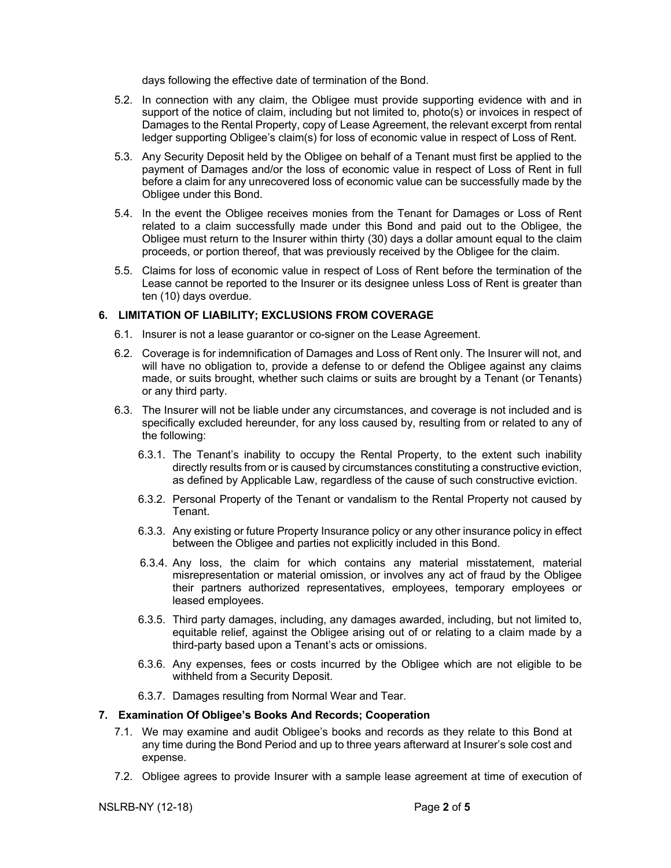days following the effective date of termination of the Bond.

- 5.2. In connection with any claim, the Obligee must provide supporting evidence with and in support of the notice of claim, including but not limited to, photo(s) or invoices in respect of Damages to the Rental Property, copy of Lease Agreement, the relevant excerpt from rental ledger supporting Obligee's claim(s) for loss of economic value in respect of Loss of Rent.
- 5.3. Any Security Deposit held by the Obligee on behalf of a Tenant must first be applied to the payment of Damages and/or the loss of economic value in respect of Loss of Rent in full before a claim for any unrecovered loss of economic value can be successfully made by the Obligee under this Bond.
- 5.4. In the event the Obligee receives monies from the Tenant for Damages or Loss of Rent related to a claim successfully made under this Bond and paid out to the Obligee, the Obligee must return to the Insurer within thirty (30) days a dollar amount equal to the claim proceeds, or portion thereof, that was previously received by the Obligee for the claim.
- 5.5. Claims for loss of economic value in respect of Loss of Rent before the termination of the Lease cannot be reported to the Insurer or its designee unless Loss of Rent is greater than ten (10) days overdue.

#### **6. LIMITATION OF LIABILITY; EXCLUSIONS FROM COVERAGE**

- 6.1. Insurer is not a lease guarantor or co-signer on the Lease Agreement.
- 6.2. Coverage is for indemnification of Damages and Loss of Rent only. The Insurer will not, and will have no obligation to, provide a defense to or defend the Obligee against any claims made, or suits brought, whether such claims or suits are brought by a Tenant (or Tenants) or any third party.
- 6.3. The Insurer will not be liable under any circumstances, and coverage is not included and is specifically excluded hereunder, for any loss caused by, resulting from or related to any of the following:
	- 6.3.1. The Tenant's inability to occupy the Rental Property, to the extent such inability directly results from or is caused by circumstances constituting a constructive eviction, as defined by Applicable Law, regardless of the cause of such constructive eviction.
	- 6.3.2. Personal Property of the Tenant or vandalism to the Rental Property not caused by Tenant.
	- 6.3.3. Any existing or future Property Insurance policy or any other insurance policy in effect between the Obligee and parties not explicitly included in this Bond.
	- 6.3.4. Any loss, the claim for which contains any material misstatement, material misrepresentation or material omission, or involves any act of fraud by the Obligee their partners authorized representatives, employees, temporary employees or leased employees.
	- 6.3.5. Third party damages, including, any damages awarded, including, but not limited to, equitable relief, against the Obligee arising out of or relating to a claim made by a third-party based upon a Tenant's acts or omissions.
	- 6.3.6. Any expenses, fees or costs incurred by the Obligee which are not eligible to be withheld from a Security Deposit.
	- 6.3.7. Damages resulting from Normal Wear and Tear.

#### **7. Examination Of Obligee's Books And Records; Cooperation**

- 7.1. We may examine and audit Obligee's books and records as they relate to this Bond at any time during the Bond Period and up to three years afterward at Insurer's sole cost and expense.
- 7.2. Obligee agrees to provide Insurer with a sample lease agreement at time of execution of

NSLRB-NY (12-18) Page **2** of **5**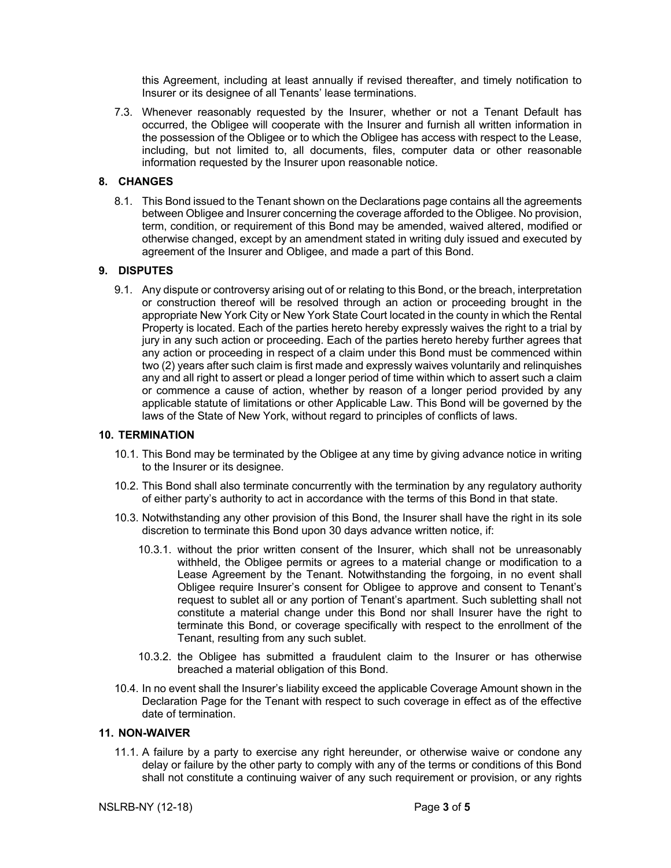this Agreement, including at least annually if revised thereafter, and timely notification to Insurer or its designee of all Tenants' lease terminations.

7.3. Whenever reasonably requested by the Insurer, whether or not a Tenant Default has occurred, the Obligee will cooperate with the Insurer and furnish all written information in the possession of the Obligee or to which the Obligee has access with respect to the Lease, including, but not limited to, all documents, files, computer data or other reasonable information requested by the Insurer upon reasonable notice.

## **8. CHANGES**

8.1. This Bond issued to the Tenant shown on the Declarations page contains all the agreements between Obligee and Insurer concerning the coverage afforded to the Obligee. No provision, term, condition, or requirement of this Bond may be amended, waived altered, modified or otherwise changed, except by an amendment stated in writing duly issued and executed by agreement of the Insurer and Obligee, and made a part of this Bond.

## **9. DISPUTES**

9.1. Any dispute or controversy arising out of or relating to this Bond, or the breach, interpretation or construction thereof will be resolved through an action or proceeding brought in the appropriate New York City or New York State Court located in the county in which the Rental Property is located. Each of the parties hereto hereby expressly waives the right to a trial by jury in any such action or proceeding. Each of the parties hereto hereby further agrees that any action or proceeding in respect of a claim under this Bond must be commenced within two (2) years after such claim is first made and expressly waives voluntarily and relinquishes any and all right to assert or plead a longer period of time within which to assert such a claim or commence a cause of action, whether by reason of a longer period provided by any applicable statute of limitations or other Applicable Law. This Bond will be governed by the laws of the State of New York, without regard to principles of conflicts of laws.

## **10. TERMINATION**

- 10.1. This Bond may be terminated by the Obligee at any time by giving advance notice in writing to the Insurer or its designee.
- 10.2. This Bond shall also terminate concurrently with the termination by any regulatory authority of either party's authority to act in accordance with the terms of this Bond in that state.
- 10.3. Notwithstanding any other provision of this Bond, the Insurer shall have the right in its sole discretion to terminate this Bond upon 30 days advance written notice, if:
	- 10.3.1. without the prior written consent of the Insurer, which shall not be unreasonably withheld, the Obligee permits or agrees to a material change or modification to a Lease Agreement by the Tenant. Notwithstanding the forgoing, in no event shall Obligee require Insurer's consent for Obligee to approve and consent to Tenant's request to sublet all or any portion of Tenant's apartment. Such subletting shall not constitute a material change under this Bond nor shall Insurer have the right to terminate this Bond, or coverage specifically with respect to the enrollment of the Tenant, resulting from any such sublet.
	- 10.3.2. the Obligee has submitted a fraudulent claim to the Insurer or has otherwise breached a material obligation of this Bond.
- 10.4. In no event shall the Insurer's liability exceed the applicable Coverage Amount shown in the Declaration Page for the Tenant with respect to such coverage in effect as of the effective date of termination.

#### **11. NON-WAIVER**

11.1. A failure by a party to exercise any right hereunder, or otherwise waive or condone any delay or failure by the other party to comply with any of the terms or conditions of this Bond shall not constitute a continuing waiver of any such requirement or provision, or any rights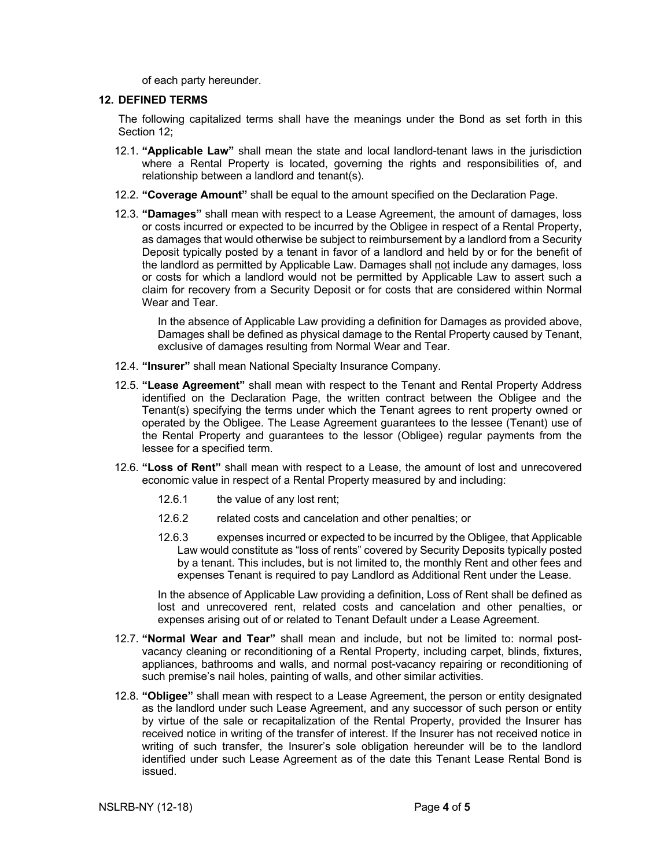of each party hereunder.

#### **12. DEFINED TERMS**

The following capitalized terms shall have the meanings under the Bond as set forth in this Section 12;

- 12.1. **"Applicable Law"** shall mean the state and local landlord-tenant laws in the jurisdiction where a Rental Property is located, governing the rights and responsibilities of, and relationship between a landlord and tenant(s).
- 12.2. **"Coverage Amount"** shall be equal to the amount specified on the Declaration Page.
- 12.3. **"Damages"** shall mean with respect to a Lease Agreement, the amount of damages, loss or costs incurred or expected to be incurred by the Obligee in respect of a Rental Property, as damages that would otherwise be subject to reimbursement by a landlord from a Security Deposit typically posted by a tenant in favor of a landlord and held by or for the benefit of the landlord as permitted by Applicable Law. Damages shall not include any damages, loss or costs for which a landlord would not be permitted by Applicable Law to assert such a claim for recovery from a Security Deposit or for costs that are considered within Normal Wear and Tear.

In the absence of Applicable Law providing a definition for Damages as provided above, Damages shall be defined as physical damage to the Rental Property caused by Tenant, exclusive of damages resulting from Normal Wear and Tear.

- 12.4. **"Insurer"** shall mean National Specialty Insurance Company.
- 12.5. **"Lease Agreement"** shall mean with respect to the Tenant and Rental Property Address identified on the Declaration Page, the written contract between the Obligee and the Tenant(s) specifying the terms under which the Tenant agrees to rent property owned or operated by the Obligee. The Lease Agreement guarantees to the lessee (Tenant) use of the Rental Property and guarantees to the lessor (Obligee) regular payments from the lessee for a specified term.
- 12.6. **"Loss of Rent"** shall mean with respect to a Lease, the amount of lost and unrecovered economic value in respect of a Rental Property measured by and including:
	- 12.6.1 the value of any lost rent;
	- 12.6.2 related costs and cancelation and other penalties; or
	- 12.6.3 expenses incurred or expected to be incurred by the Obligee, that Applicable Law would constitute as "loss of rents" covered by Security Deposits typically posted by a tenant. This includes, but is not limited to, the monthly Rent and other fees and expenses Tenant is required to pay Landlord as Additional Rent under the Lease.

In the absence of Applicable Law providing a definition, Loss of Rent shall be defined as lost and unrecovered rent, related costs and cancelation and other penalties, or expenses arising out of or related to Tenant Default under a Lease Agreement.

- 12.7. **"Normal Wear and Tear"** shall mean and include, but not be limited to: normal postvacancy cleaning or reconditioning of a Rental Property, including carpet, blinds, fixtures, appliances, bathrooms and walls, and normal post-vacancy repairing or reconditioning of such premise's nail holes, painting of walls, and other similar activities.
- 12.8. **"Obligee"** shall mean with respect to a Lease Agreement, the person or entity designated as the landlord under such Lease Agreement, and any successor of such person or entity by virtue of the sale or recapitalization of the Rental Property, provided the Insurer has received notice in writing of the transfer of interest. If the Insurer has not received notice in writing of such transfer, the Insurer's sole obligation hereunder will be to the landlord identified under such Lease Agreement as of the date this Tenant Lease Rental Bond is issued.